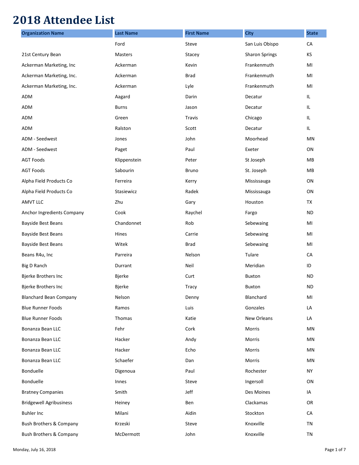## **2018 Attendee List**

| <b>Organization Name</b>           | <b>Last Name</b> | <b>First Name</b> | <b>City</b>           | <b>State</b> |
|------------------------------------|------------------|-------------------|-----------------------|--------------|
|                                    | Ford             | Steve             | San Luis Obispo       | CA           |
| 21st Century Bean                  | Masters          | Stacey            | <b>Sharon Springs</b> | ΚS           |
| Ackerman Marketing, Inc            | Ackerman         | Kevin             | Frankenmuth           | MI           |
| Ackerman Marketing, Inc.           | Ackerman         | <b>Brad</b>       | Frankenmuth           | MI           |
| Ackerman Marketing, Inc.           | Ackerman         | Lyle              | Frankenmuth           | MI           |
| ADM                                | Aagard           | Darin             | Decatur               | IL.          |
| <b>ADM</b>                         | <b>Burns</b>     | Jason             | Decatur               | IL.          |
| <b>ADM</b>                         | Green            | Travis            | Chicago               | IL.          |
| ADM                                | Ralston          | Scott             | Decatur               | IL           |
| ADM - Seedwest                     | Jones            | John              | Moorhead              | MN           |
| ADM - Seedwest                     | Paget            | Paul              | Exeter                | ON           |
| <b>AGT Foods</b>                   | Klippenstein     | Peter             | St Joseph             | MB           |
| <b>AGT Foods</b>                   | Sabourin         | Bruno             | St. Joseph            | MB           |
| Alpha Field Products Co            | Ferreira         | Kerry             | Mississauga           | ON           |
| Alpha Field Products Co            | Stasiewicz       | Radek             | Mississauga           | ON           |
| <b>AMVT LLC</b>                    | Zhu              | Gary              | Houston               | TX           |
| Anchor Ingredients Company         | Cook             | Raychel           | Fargo                 | <b>ND</b>    |
| <b>Bayside Best Beans</b>          | Chandonnet       | Rob               | Sebewaing             | MI           |
| <b>Bayside Best Beans</b>          | Hines            | Carrie            | Sebewaing             | MI           |
| <b>Bayside Best Beans</b>          | Witek            | <b>Brad</b>       | Sebewaing             | MI           |
| Beans R4u, Inc                     | Parreira         | Nelson            | Tulare                | CA           |
| Big D Ranch                        | Durrant          | Neil              | Meridian              | ID           |
| Bjerke Brothers Inc                | Bjerke           | Curt              | Buxton                | ND.          |
| <b>Bjerke Brothers Inc</b>         | <b>Bjerke</b>    | Tracy             | <b>Buxton</b>         | <b>ND</b>    |
| <b>Blanchard Bean Company</b>      | Nelson           | Denny             | Blanchard             | MI           |
| <b>Blue Runner Foods</b>           | Ramos            | Luis              | Gonzales              | LA           |
| <b>Blue Runner Foods</b>           | Thomas           | Katie             | New Orleans           | LA           |
| Bonanza Bean LLC                   | Fehr             | Cork              | Morris                | MN           |
| Bonanza Bean LLC                   | Hacker           | Andy              | Morris                | MN           |
| Bonanza Bean LLC                   | Hacker           | Echo              | Morris                | MN           |
| Bonanza Bean LLC                   | Schaefer         | Dan               | Morris                | MN           |
| Bonduelle                          | Digenoua         | Paul              | Rochester             | <b>NY</b>    |
| Bonduelle                          | Innes            | Steve             | Ingersoll             | ON           |
| <b>Bratney Companies</b>           | Smith            | Jeff              | Des Moines            | IA           |
| <b>Bridgewell Agribusiness</b>     | Heiney           | Ben               | Clackamas             | OR           |
| <b>Buhler Inc</b>                  | Milani           | Aidin             | Stockton              | CA           |
| <b>Bush Brothers &amp; Company</b> | Krzeski          | Steve             | Knoxville             | TN           |
| <b>Bush Brothers &amp; Company</b> | McDermott        | John              | Knoxville             | TN           |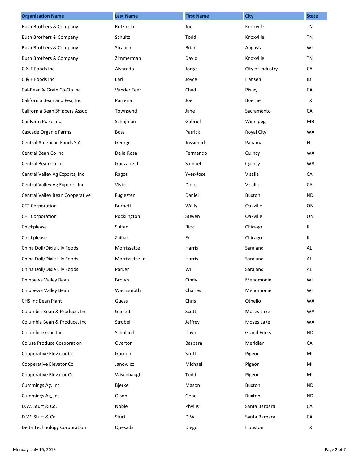| <b>Organization Name</b>           | <b>Last Name</b> | <b>First Name</b> | <b>City</b>        | <b>State</b> |
|------------------------------------|------------------|-------------------|--------------------|--------------|
| <b>Bush Brothers &amp; Company</b> | Rutzinski        | Joe               | Knoxville          | <b>TN</b>    |
| Bush Brothers & Company            | Schultz          | Todd              | Knoxville          | TN           |
| <b>Bush Brothers &amp; Company</b> | Strauch          | <b>Brian</b>      | Augusta            | WI           |
| Bush Brothers & Company            | Zimmerman        | David             | Knoxville          | TN           |
| C & F Foods Inc                    | Alvarado         | Jorge             | City of Industry   | CA           |
| C & F Foods Inc                    | Earl             | Joyce             | Hansen             | ID           |
| Cal-Bean & Grain Co-Op Inc         | Vander Feer      | Chad              | Pixley             | CA           |
| California Bean and Pea, Inc       | Parreira         | Joel              | Boerne             | TX           |
| California Bean Shippers Assoc     | Townsend         | Jane              | Sacramento         | CA           |
| CanFarm Pulse Inc                  | Schujman         | Gabriel           | Winnipeg           | MB           |
| Cascade Organic Farms              | <b>Boss</b>      | Patrick           | Royal City         | <b>WA</b>    |
| Central American Foods S.A.        | George           | Jossimark         | Panama             | FL.          |
| Central Bean Co Inc                | De la Rosa       | Fermando          | Quincy             | <b>WA</b>    |
| Central Bean Co Inc.               | Gonzalez III     | Samuel            | Quincy             | WA           |
| Central Valley Ag Exports, Inc     | Ragot            | Yves-Jose         | Visalia            | CA           |
| Central Valley Ag Exports, Inc     | <b>Vivies</b>    | Didier            | Visalia            | CA           |
| Central Valley Bean Cooperative    | Fuglesten        | Daniel            | <b>Buxton</b>      | <b>ND</b>    |
| <b>CFT Corporation</b>             | <b>Burnett</b>   | Wally             | Oakville           | ON           |
| <b>CFT Corporation</b>             | Pocklington      | Steven            | Oakville           | ON           |
| Chickplease                        | Sultan           | Rick              | Chicago            | IL.          |
| Chickplease                        | Zaibak           | Ed                | Chicago            | IL.          |
| China Doll/Dixie Lily Foods        | Morrissette      | Harris            | Saraland           | AL           |
| China Doll/Dixie Lily Foods        | Morrissette Jr   | Harris            | Saraland           | AL           |
| China Doll/Dixie Lily Foods        | Parker           | Will              | Saraland           | AL           |
| Chippewa Valley Bean               | Brown            | Cindy             | Menomonie          | WI           |
| Chippewa Valley Bean               | Wachsmuth        | Charles           | Menomonie          | WI           |
| <b>CHS Inc Bean Plant</b>          | Guess            | Chris             | Othello            | <b>WA</b>    |
| Columbia Bean & Produce, Inc       | Garrett          | Scott             | Moses Lake         | <b>WA</b>    |
| Columbia Bean & Produce, Inc       | Strobel          | Jeffrey           | Moses Lake         | <b>WA</b>    |
| Columbia Grain Inc                 | Scholand         | David             | <b>Grand Forks</b> | <b>ND</b>    |
| <b>Colusa Produce Corporation</b>  | Overton          | Barbara           | Meridian           | CA           |
| Cooperative Elevator Co            | Gordon           | Scott             | Pigeon             | MI           |
| Cooperative Elevator Co            | Janowicz         | Michael           | Pigeon             | MI           |
| Cooperative Elevator Co            | Wisenbaugh       | Todd              | Pigeon             | MI           |
| Cummings Ag, Inc                   | Bjerke           | Mason             | <b>Buxton</b>      | ND.          |
| Cummings Ag, Inc                   | Olson            | Gene              | Buxton             | ND.          |
| D.W. Sturt & Co.                   | Noble            | Phyllis           | Santa Barbara      | CA           |
| D.W. Sturt & Co.                   | Sturt            | D.W.              | Santa Barbara      | CA           |
| Delta Technology Corporation       | Quesada          | Diego             | Houston            | TX           |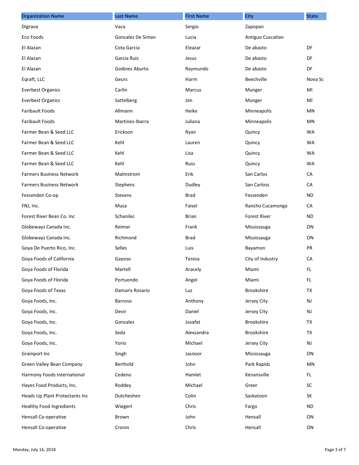| <b>Organization Name</b>        | <b>Last Name</b>  | <b>First Name</b> | <b>City</b>         | <b>State</b> |
|---------------------------------|-------------------|-------------------|---------------------|--------------|
| Digrava                         | Vaca              | Sergio            | Zapopan             |              |
| Eco Foods                       | Gonzalez De Siman | Lucia             | Antiguo Cuscatlan   |              |
| El Alazan                       | Cota Garcia       | Eleazar           | De abasto           | DF           |
| El Alazan                       | Garcia Ruiz       | Jesus             | De abasto           | DF           |
| El Alazan                       | Godinez Aburto    | Raymundo          | De abasto           | DF           |
| Eqraft, LLC                     | Geurs             | Harm              | Beechville          | Nova Sc      |
| <b>Everbest Organics</b>        | Carlin            | Marcus            | Munger              | MI           |
| <b>Everbest Organics</b>        | Sattelberg        | Jim               | Munger              | MI           |
| <b>Faribault Foods</b>          | Allmann           | Heike             | Minneapolis         | MN           |
| <b>Faribault Foods</b>          | Martinez-Ibarra   | Juliana           | Minneapolis         | <b>MN</b>    |
| Farmer Bean & Seed LLC          | Erickson          | Ryan              | Quincy              | <b>WA</b>    |
| Farmer Bean & Seed LLC          | Kehl              | Lauren            | Quincy              | <b>WA</b>    |
| Farmer Bean & Seed LLC          | Kehl              | Lisa              | Quincy              | <b>WA</b>    |
| Farmer Bean & Seed LLC          | Kehl              | Russ              | Quincy              | WA           |
| <b>Farmers Business Network</b> | Malmstrom         | Erik              | San Carlos          | CA           |
| <b>Farmers Business Network</b> | Stephens          | Dudley            | San Carloss         | CA           |
| Fessenden Co-op                 | <b>Stevens</b>    | Brad              | Fessenden           | <b>ND</b>    |
| FNJ, Inc.                       | Musa              | Faisel            | Rancho Cucamonga    | CA           |
| Forest River Bean Co. Inc       | Schanilec         | <b>Brian</b>      | <b>Forest River</b> | <b>ND</b>    |
| Globeways Canada Inc.           | Reimer            | Frank             | Mississauga         | ON           |
| Globeways Canada Inc.           | Richmond          | <b>Brad</b>       | Mississauga         | ON           |
| Goya De Puerto Rico, Inc.       | Selles            | Luis              | Bayamon             | PR           |
| Goya Foods of California        | Gayoso            | Teresa            | City of Industry    | CA           |
| Goya Foods of Florida           | Martell           | Aracely           | Miami               | FL.          |
| Goya Foods of Florida           | Portuondo         | Angel             | Miami               | FL.          |
| Goya Foods of Texas             | Damaris Rosario   | Luz               | Brookshire          | <b>TX</b>    |
| Goya Foods, Inc.                | Barroso           | Anthony           | Jersey City         | NJ           |
| Goya Foods, Inc.                | Devir             | Daniel            | Jersey City         | NJ           |
| Goya Foods, Inc.                | Gonzalez          | Josafat           | <b>Brookshire</b>   | TX           |
| Goya Foods, Inc.                | Seda              | Alexsandra        | <b>Brookshire</b>   | TX           |
| Goya Foods, Inc.                | Yorio             | Michael           | Jersey City         | NJ           |
| Grainport Inc                   | Singh             | Jasnoor           | Mississauga         | ON           |
| Green Valley Bean Company       | Berthold          | John              | Park Rapids         | MN           |
| Harmony Foods International     | Cedeno            | Hamlet            | Kenansville         | FL.          |
| Hayes Food Products, Inc.       | Roddey            | Michael           | Greer               | SC           |
| Heads Up Plant Protectants Inc  | Dutcheshen        | Colin             | Saskatoon           | SK           |
| <b>Healthy Food Ingredients</b> | Wiegert           | Chris             | Fargo               | <b>ND</b>    |
| Hensall Co-operative            | Brown             | John              | Hensall             | ON           |
| Hensall Co-operative            | Cronin            | Chris             | Hensall             | ON           |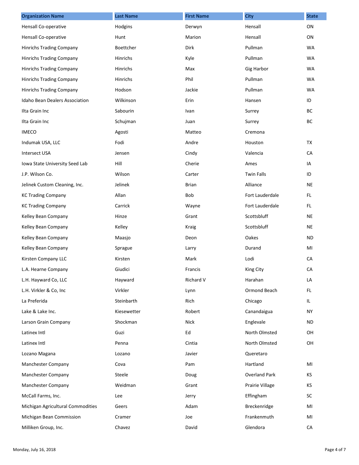| <b>Organization Name</b>          | <b>Last Name</b> | <b>First Name</b> | <b>City</b>          | <b>State</b> |
|-----------------------------------|------------------|-------------------|----------------------|--------------|
| Hensall Co-operative              | Hodgins          | Derwyn            | Hensall              | ON           |
| Hensall Co-operative              | Hunt             | Marion            | Hensall              | ON           |
| <b>Hinrichs Trading Company</b>   | Boettcher        | Dirk              | Pullman              | <b>WA</b>    |
| Hinrichs Trading Company          | Hinrichs         | Kyle              | Pullman              | <b>WA</b>    |
| Hinrichs Trading Company          | Hinrichs         | Max               | <b>Gig Harbor</b>    | <b>WA</b>    |
| Hinrichs Trading Company          | Hinrichs         | Phil              | Pullman              | <b>WA</b>    |
| <b>Hinrichs Trading Company</b>   | Hodson           | Jackie            | Pullman              | <b>WA</b>    |
| Idaho Bean Dealers Association    | Wilkinson        | Erin              | Hansen               | ID           |
| Ilta Grain Inc                    | Sabourin         | Ivan              | Surrey               | BC           |
| Ilta Grain Inc                    | Schujman         | Juan              | Surrey               | <b>BC</b>    |
| <b>IMECO</b>                      | Agosti           | Matteo            | Cremona              |              |
| Indumak USA, LLC                  | Fodi             | Andre             | Houston              | <b>TX</b>    |
| <b>Intersect USA</b>              | Jensen           | Cindy             | Valencia             | CA           |
| Iowa State University Seed Lab    | Hill             | Cherie            | Ames                 | IA           |
| J.P. Wilson Co.                   | Wilson           | Carter            | <b>Twin Falls</b>    | ID           |
| Jelinek Custom Cleaning, Inc.     | Jelinek          | <b>Brian</b>      | Alliance             | <b>NE</b>    |
| <b>KC Trading Company</b>         | Allan            | Bob               | Fort Lauderdale      | FL.          |
| <b>KC Trading Company</b>         | Carrick          | Wayne             | Fort Lauderdale      | FL.          |
| Kelley Bean Company               | Hinze            | Grant             | Scottsbluff          | <b>NE</b>    |
| Kelley Bean Company               | Kelley           | Kraig             | Scottsbluff          | NE           |
| Kelley Bean Company               | Maasjo           | Deon              | Oakes                | <b>ND</b>    |
| Kelley Bean Company               | Sprague          | Larry             | Durand               | MI           |
| Kirsten Company LLC               | Kirsten          | Mark              | Lodi                 | CA           |
| L.A. Hearne Company               | Giudici          | Francis           | King City            | CA           |
| L.H. Hayward Co, LLC              | Hayward          | Richard V         | Harahan              | LA           |
| L.H. Virkler & Co, Inc            | Virkler          | Lynn              | Ormond Beach         | FL.          |
| La Preferida                      | Steinbarth       | Rich              | Chicago              | IL.          |
| Lake & Lake Inc.                  | Kiesewetter      | Robert            | Canandaigua          | NY.          |
| Larson Grain Company              | Shockman         | Nick              | Englevale            | <b>ND</b>    |
| Latinex Intl                      | Guzi             | Ed                | North Olmsted        | OH           |
| Latinex Intl                      | Penna            | Cintia            | North Olmsted        | OH           |
| Lozano Magana                     | Lozano           | Javier            | Queretaro            |              |
| Manchester Company                | Cova             | Pam               | Hartland             | MI           |
| Manchester Company                | Steele           | Doug              | <b>Overland Park</b> | KS           |
| Manchester Company                | Weidman          | Grant             | Prairie Village      | KS           |
| McCall Farms, Inc.                | Lee              | Jerry             | Effingham            | SC           |
| Michigan Agricultural Commodities | Geers            | Adam              | Breckenridge         | MI           |
| Michigan Bean Commission          | Cramer           | Joe               | Frankenmuth          | MI           |
| Milliken Group, Inc.              | Chavez           | David             | Glendora             | CA           |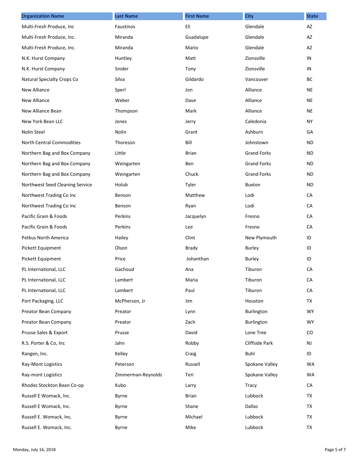| <b>Organization Name</b>         | <b>Last Name</b>   | <b>First Name</b> | <b>City</b>        | <b>State</b> |
|----------------------------------|--------------------|-------------------|--------------------|--------------|
| Multi-Fresh Produce, Inc         | Faustinos          | Eli               | Glendale           | AZ           |
| Multi-Fresh Produce, Inc.        | Miranda            | Guadalupe         | Glendale           | AZ           |
| Multi-Fresh Produce, Inc.        | Miranda            | Mario             | Glendale           | AZ           |
| N.K. Hurst Company               | Huntley            | Matt              | Zionsville         | IN           |
| N.K. Hurst Company               | Snider             | Tony              | Zionsville         | IN           |
| Natural Specialty Crops Co       | Silva              | Gildardo          | Vancouver          | ВC           |
| New Alliance                     | Sperl              | Jon               | Alliance           | <b>NE</b>    |
| New Alliance                     | Weber              | Dave              | Alliance           | <b>NE</b>    |
| New Alliance Bean                | Thompson           | Mark              | Alliance           | <b>NE</b>    |
| New York Bean LLC                | Jones              | Jerry             | Caledonia          | NY.          |
| Nolin Steel                      | Nolin              | Grant             | Ashburn            | GA           |
| <b>North Central Commodities</b> | Thoreson           | Bill              | Johnstown          | ND.          |
| Northern Bag and Box Company     | Little             | <b>Brian</b>      | <b>Grand Forks</b> | <b>ND</b>    |
| Northern Bag and Box Company     | Weingarten         | Ben               | <b>Grand Forks</b> | <b>ND</b>    |
| Northern Bag and Box Company     | Weingarten         | Chuck             | <b>Grand Forks</b> | <b>ND</b>    |
| Northwest Seed Cleaning Service  | Holub              | Tyler             | Buxton             | <b>ND</b>    |
| Northwest Trading Co Inc         | Benson             | Matthew           | Lodi               | CA           |
| Northwest Trading Co Inc         | Benson             | Ryan              | Lodi               | CA           |
| Pacific Grain & Foods            | Perkins            | Jacquelyn         | Fresno             | CA           |
| Pacific Grain & Foods            | Perkins            | Lee               | Fresno             | CA           |
| Petkus North America             | Hailey             | Clint             | New Plymouth       | ID           |
| Pickett Equipment                | Olson              | <b>Brady</b>      | Burley             | ID           |
| Pickett Equipment                | Price              | Johanthan         | Burley             | ID           |
| PL International, LLC            | Gachoud            | Ana               | Tiburon            | CA           |
| PL International, LLC            | Lambert            | Maria             | Tiburon            | CA           |
| PL International, LLC            | Lambert            | Paul              | Tiburon            | CA           |
| Port Packaging, LLC              | McPherson, Jr      | Jim               | Houston            | TX           |
| Preator Bean Company             | Preator            | Lynn              | Burlington         | WY.          |
| Preator Bean Company             | Preator            | Zach              | Burlington         | <b>WY</b>    |
| Prusse Sales & Export            | Prusse             | David             | Lone Tree          | CO           |
| R.S. Porter & Co, Inc            | Jahn               | Robby             | Cliffside Park     | NJ           |
| Rangen, Inc.                     | Kelley             | Craig             | Buhl               | ID           |
| Ray-Mont Logistics               | Peterson           | Russell           | Spokane Valley     | WA           |
| Ray-mont Logistics               | Zimmerman-Reynolds | Teri              | Spokane Valley     | WA           |
| Rhodes Stockton Bean Co-op       | Kubo               | Larry             | <b>Tracy</b>       | CA           |
| Russell E Womack, Inc.           | Byrne              | <b>Brian</b>      | Lubbock            | TX           |
| Russell E Womack, Inc.           | Byrne              | Shane             | Dallas             | TX           |
| Russell E. Womack, Inc.          | Byrne              | Michael           | Lubbock            | TX           |
| Russell E. Womack, Inc.          | Byrne              | Mike              | Lubbock            | TX           |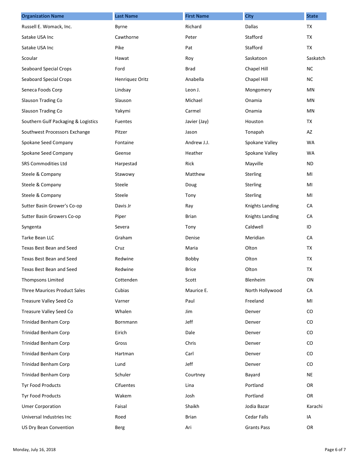| <b>Organization Name</b>            | <b>Last Name</b> | <b>First Name</b> | <b>City</b>        | <b>State</b> |
|-------------------------------------|------------------|-------------------|--------------------|--------------|
| Russell E. Womack, Inc.             | Byrne            | Richard           | Dallas             | <b>TX</b>    |
| Satake USA Inc                      | Cawthorne        | Peter             | Stafford           | TX           |
| Satake USA Inc                      | Pike             | Pat               | Stafford           | TX           |
| Scoular                             | Hawat            | Roy               | Saskatoon          | Saskatch     |
| <b>Seaboard Special Crops</b>       | Ford             | <b>Brad</b>       | Chapel Hill        | <b>NC</b>    |
| <b>Seaboard Special Crops</b>       | Henriquez Oritz  | Anabella          | Chapel Hill        | <b>NC</b>    |
| Seneca Foods Corp                   | Lindsay          | Leon J.           | Mongomery          | MN           |
| Slauson Trading Co                  | Slauson          | Michael           | Onamia             | MN           |
| Slauson Trading Co                  | Yakymi           | Carmel            | Onamia             | <b>MN</b>    |
| Southern Gulf Packaging & Logistics | <b>Fuentes</b>   | Javier (Jay)      | Houston            | TX           |
| Southwest Processors Exchange       | Pitzer           | Jason             | Tonapah            | AZ           |
| Spokane Seed Company                | Fontaine         | Andrew J.J.       | Spokane Valley     | <b>WA</b>    |
| Spokane Seed Company                | Geense           | Heather           | Spokane Valley     | <b>WA</b>    |
| <b>SRS Commodities Ltd</b>          | Harpestad        | Rick              | Mayville           | ND.          |
| Steele & Company                    | Stawowy          | Matthew           | Sterling           | MI           |
| Steele & Company                    | Steele           | Doug              | Sterling           | MI           |
| Steele & Company                    | Steele           | Tony              | Sterling           | MI           |
| Sutter Basin Grower's Co-op         | Davis Jr         | Ray               | Knights Landing    | CA           |
| Sutter Basin Growers Co-op          | Piper            | <b>Brian</b>      | Knights Landing    | CA           |
| Syngenta                            | Severa           | Tony              | Caldwell           | ID           |
| Tarke Bean LLC                      | Graham           | Denise            | Meridian           | CA           |
| Texas Best Bean and Seed            | Cruz             | Maria             | Olton              | TX           |
| Texas Best Bean and Seed            | Redwine          | Bobby             | Olton              | TX           |
| Texas Best Bean and Seed            | Redwine          | <b>Brice</b>      | Olton              | TX           |
| Thompsons Limited                   | Cottenden        | Scott             | Blenheim           | ON           |
| <b>Three Maurices Product Sales</b> | Cubias           | Maurice E.        | North Hollywood    | CA           |
| Treasure Valley Seed Co             | Varner           | Paul              | Freeland           | MI           |
| Treasure Valley Seed Co             | Whalen           | Jim               | Denver             | $\rm CO$     |
| Trinidad Benham Corp                | Bornmann         | Jeff              | Denver             | $\rm CO$     |
| <b>Trinidad Benham Corp</b>         | Eirich           | Dale              | Denver             | $\rm CO$     |
| Trinidad Benham Corp                | Gross            | Chris             | Denver             | $\rm CO$     |
| Trinidad Benham Corp                | Hartman          | Carl              | Denver             | $\rm CO$     |
| Trinidad Benham Corp                | Lund             | Jeff              | Denver             | $\rm CO$     |
| Trinidad Benham Corp                | Schuler          | Courtney          | Bayard             | <b>NE</b>    |
| Tyr Food Products                   | Cifuentes        | Lina              | Portland           | 0R           |
| Tyr Food Products                   | Wakem            | Josh              | Portland           | OR           |
| <b>Umer Corporation</b>             | Faisal           | Shaikh            | Jodia Bazar        | Karachi      |
| Universal Industries Inc            | Roed             | Brian             | <b>Cedar Falls</b> | IA           |
| <b>US Dry Bean Convention</b>       | Berg             | Ari               | <b>Grants Pass</b> | OR           |